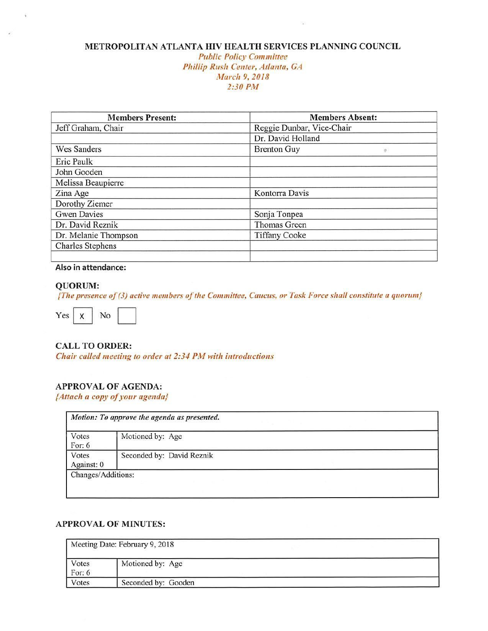## **METROPOLITAN ATLANTA HIV HEALTH SERVICES PLANNlNG COUNCIL**

#### *Public Policy* Committee Phillip *Rush Center,* Atlanta, *GA <sup>i</sup>'1/arch 9, 2018*  2:30 PM

| <b>Members Present:</b> | <b>Members Absent:</b>    |
|-------------------------|---------------------------|
| Jeff Graham, Chair      | Reggie Dunbar, Vice-Chair |
|                         | Dr. David Holland         |
| <b>Wes Sanders</b>      | <b>Brenton Guy</b>        |
| Eric Paulk              |                           |
| John Gooden             |                           |
| Melissa Beaupierre      |                           |
| Zina Age                | Kontorra Davis            |
| Dorothy Ziemer          |                           |
| <b>Gwen Davies</b>      | Sonja Tonpea              |
| Dr. David Reznik        | Thomas Green              |
| Dr. Melanie Thompson    | <b>Tiffany Cooke</b>      |
| <b>Charles Stephens</b> |                           |
|                         |                           |

#### **Also in attendance:**

#### **QUORUM:**

**{The presence of (3) active members of the Committee. Caucus, or Task Force shall constitute a quorum}**<br>Yes X No No No No No Reserves No Reserves No. 1998. No No Reserves No. 1998. No No Reserves No. 1998. No No Reserves



## **CALL TO ORDER:**

*Chair called meeting to order at 2:34 PM with introductions* 

## **APPROVAL OF AGENDA:**

*{Attach a copy* ofyour *agenda}* 

| Votes<br>For: 6     | Motioned by: Age          |
|---------------------|---------------------------|
| Votes<br>Against: 0 | Seconded by: David Reznik |

## **APPROVAL OF MINUTES:**

| Meeting Date: February 9, 2018 |                     |  |  |  |
|--------------------------------|---------------------|--|--|--|
| Votes<br>For: $6$              | Motioned by: Age    |  |  |  |
| Votes                          | Seconded by: Gooden |  |  |  |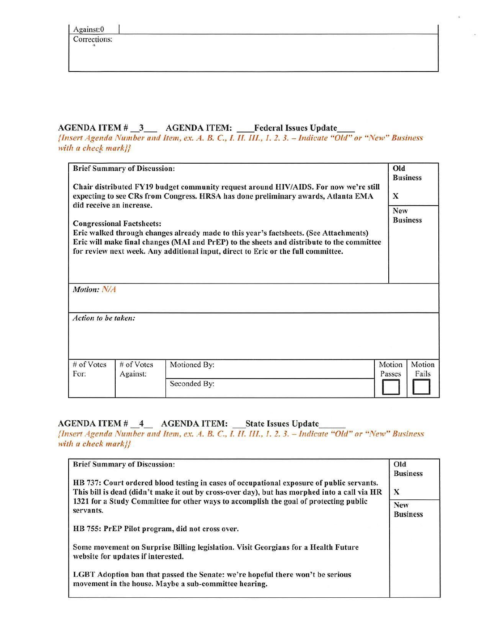Corrections:

# AGENDA ITEM # 3 AGENDA ITEM: Federal Issues Update

*{Insert Agenda* Number *and Item, ex. A. B. C., I. II. III., l. 2. 3. -* Indicate *"Old" or* "New" Business with a check mark}}

| <b>Brief Summary of Discussion:</b><br>Chair distributed FY19 budget community request around HIV/AIDS. For now we're still<br>expecting to see CRs from Congress. HRSA has done preliminary awards, Atlanta EMA<br>did receive an increase.<br><b>Congressional Factsheets:</b><br>Eric walked through changes already made to this year's factsheets. (See Attachments)<br>Eric will make final changes (MAI and PrEP) to the sheets and distribute to the committee<br>for review next week. Any additional input, direct to Eric or the full committee.<br>Motion: N/A |                        |                              |                  |                 |
|----------------------------------------------------------------------------------------------------------------------------------------------------------------------------------------------------------------------------------------------------------------------------------------------------------------------------------------------------------------------------------------------------------------------------------------------------------------------------------------------------------------------------------------------------------------------------|------------------------|------------------------------|------------------|-----------------|
| Action to be taken:                                                                                                                                                                                                                                                                                                                                                                                                                                                                                                                                                        |                        |                              |                  |                 |
| # of Votes<br>For:                                                                                                                                                                                                                                                                                                                                                                                                                                                                                                                                                         | # of Votes<br>Against: | Motioned By:<br>Seconded By: | Motion<br>Passes | Motion<br>Fails |

# AGENDA ITEM # \_4\_ AGENDA ITEM: \_State Issues Update

[Insert *Agenda Number and Item, ex . .4. B. C., I. ll. Ill., J. 2. 3. - Indicate* "Old" *or "New" Business*  with *a check* mark}}

| <b>Brief Summary of Discussion:</b>                                                                                                                                                       | Old<br><b>Business</b> |
|-------------------------------------------------------------------------------------------------------------------------------------------------------------------------------------------|------------------------|
| HB 737: Court ordered blood testing in cases of occupational exposure of public servants.<br>This bill is dead (didn't make it out by cross-over day), but has morphed into a call via HR | $\mathbf{x}$           |
| 1321 for a Study Committee for other ways to accomplish the goal of protecting public<br>servants.                                                                                        |                        |
| HB 755: PrEP Pilot program, did not cross over.                                                                                                                                           |                        |
| Some movement on Surprise Billing legislation. Visit Georgians for a Health Future<br>website for updates if interested.                                                                  |                        |
| LGBT Adoption ban that passed the Senate: we're hopeful there won't be serious<br>movement in the house. Maybe a sub-committee hearing.                                                   |                        |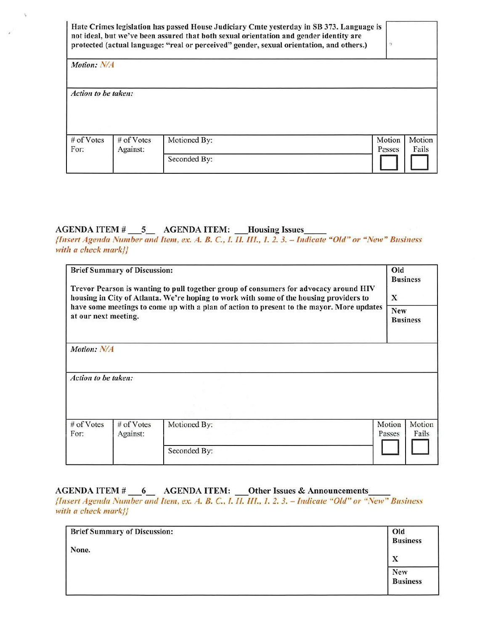|                     |                          | Hate Crimes legislation has passed House Judiciary Cmte yesterday in SB 373. Language is<br>not ideal, but we've been assured that both sexual orientation and gender identity are<br>protected (actual language: "real or perceived" gender, sexual orientation, and others.) |                  |                 |
|---------------------|--------------------------|--------------------------------------------------------------------------------------------------------------------------------------------------------------------------------------------------------------------------------------------------------------------------------|------------------|-----------------|
| Motion: N/A         |                          |                                                                                                                                                                                                                                                                                |                  |                 |
| Action to be taken: |                          |                                                                                                                                                                                                                                                                                |                  |                 |
| # of Votes<br>For:  | $#$ of Votes<br>Against: | Motioned By:                                                                                                                                                                                                                                                                   | Motion<br>Passes | Motion<br>Fails |
|                     |                          | Seconded By:                                                                                                                                                                                                                                                                   |                  |                 |

# **AGENDA ITEM#** \_5\_ **AGENDA ITEM: \_Housing Issues \_\_**

*{Insert Agenda Number and Item. ex. A. 8. C., 1. 11. Ill., 1. 2. 3. -* Indicate "Old" *or* "New" *Business*  with a check mark}}

| <b>Brief Summary of Discussion:</b><br>Trevor Pearson is wanting to pull together group of consumers for advocacy around HIV<br>housing in City of Atlanta. We're hoping to work with some of the housing providers to<br>have some meetings to come up with a plan of action to present to the mayor. More updates<br>at our next meeting. |                        |              | Old<br><b>Business</b><br>X<br><b>New</b><br><b>Business</b> |                 |
|---------------------------------------------------------------------------------------------------------------------------------------------------------------------------------------------------------------------------------------------------------------------------------------------------------------------------------------------|------------------------|--------------|--------------------------------------------------------------|-----------------|
| Motion: N/A                                                                                                                                                                                                                                                                                                                                 |                        |              |                                                              |                 |
| Action to be taken:                                                                                                                                                                                                                                                                                                                         |                        |              |                                                              |                 |
| # of Votes<br>For:                                                                                                                                                                                                                                                                                                                          | # of Votes<br>Against: | Motioned By: | Motion<br>Passes                                             | Motion<br>Fails |
|                                                                                                                                                                                                                                                                                                                                             |                        | Seconded By: |                                                              |                 |

# AGENDA ITEM # \_\_6 \_\_ AGENDA ITEM: \_\_Other Issues & Announcements

*{Insert Agenda Number and Item, ex. A. B. C.. /. /1. l/1., 1. 2. 3.* <Indicate *"Old" or "New" Business with a check* markj}

| <b>Brief Summary of Discussion:</b> | Old             |
|-------------------------------------|-----------------|
| None.                               | <b>Business</b> |
|                                     | X               |
|                                     | <b>New</b>      |
|                                     | <b>Business</b> |